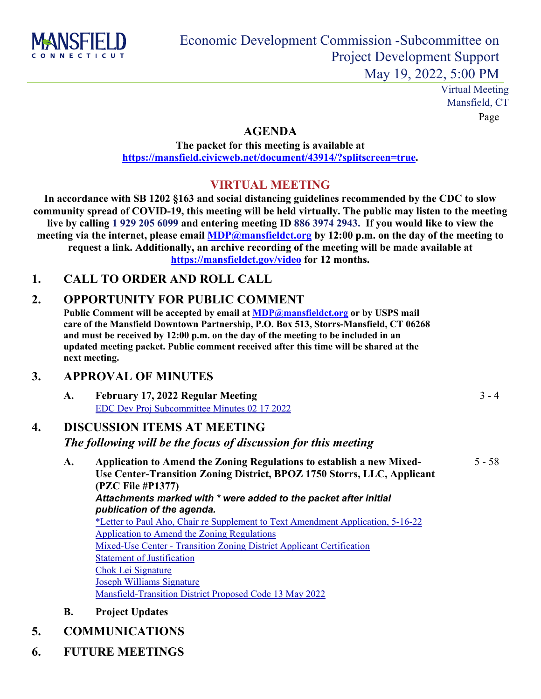

Virtual Meeting Mansfield, CT Page

 $3 - 4$ 

#### **AGENDA**

**The packet for this meeting is available at [https://mansfield.civicweb.net/document/43914/?splitscreen=true.](https://mansfield.civicweb.net/document/43914/?splitscreen=true)**

### **VIRTUAL MEETING**

**In accordance with SB 1202 §163 and social distancing guidelines recommended by the CDC to slow community spread of COVID-19, this meeting will be held virtually. The public may listen to the meeting live by calling 1 929 205 6099 and entering meeting ID 886 3974 2943. If you would like to view the meeting via the internet, please email [MDP@mansfieldct.org](mailto:planzonedept@mansfieldct.org) by 12:00 p.m. on the day of the meeting to request a link. Additionally, an archive recording of the meeting will be made available at <https://mansfieldct.gov/video> for 12 months.**

#### **1. CALL TO ORDER AND ROLL CALL**

### **2. OPPORTUNITY FOR PUBLIC COMMENT**

**Public Comment will be accepted by email at [MDP@mansfieldct.org](mailto:mdp@mansfieldct.org) or by USPS mail care of the Mansfield Downtown Partnership, P.O. Box 513, Storrs-Mansfield, CT 06268 and must be received by 12:00 p.m. on the day of the meeting to be included in an updated meeting packet. Public comment received after this time will be shared at the next meeting.**

#### **3. APPROVAL OF MINUTES**

| A. | February 17, 2022 Regular Meeting            |
|----|----------------------------------------------|
|    | EDC Dev Proj Subcommittee Minutes 02 17 2022 |

## **4. DISCUSSION ITEMS AT MEETING**

#### *The following will be the focus of discussion for this meeting*

- **A. Application to Amend the Zoning Regulations to establish a new Mixed-Use Center-Transition Zoning District, BPOZ 1750 Storrs, LLC, Applicant (PZC File #P1377)** *Attachments marked with \* were added to the packet after initial publication of the agenda.* [\\*Letter to Paul Aho, Chair re Supplement to Text Amendment Application, 5-16-22](http://mansfield.civicweb.net/document/43897/Letter%20to%20Paul%20Aho,%20Chair%20re%20Text%20Amendment,%205-16-.pdf?handle=CBC1C606242346758D61548AE73E25AE) [Application to Amend the Zoning Regulations](http://mansfield.civicweb.net/document/43753/Application%20to%20Amend%20the%20Zoning%20Regulations.pdf?handle=6C7DCC224AA34A6F9E5B82EE42D0F32C) [Mixed-Use Center - Transition Zoning District Applicant Certification](http://mansfield.civicweb.net/document/43754/Mixed-Use%20Center%20-%20Transition%20Zoning%20District%20Appl.pdf?handle=AC5F71D5C8A44729AB15B205313AC789) **[Statement of Justification](http://mansfield.civicweb.net/document/43755/Statement%20of%20Justification.pdf?handle=D5471083DA474BF7B698E1EB7562036F)** [Chok Lei Signature](http://mansfield.civicweb.net/document/43766/Chok%20Lei%20Signature.pdf?handle=E5F0928B68624900B180996F903E43F9) [Joseph Williams Signature](http://mansfield.civicweb.net/document/43767/Joseph%20Williams%20Signature.pdf?handle=1818576227014041A8AC5846BC0E8C57) [Mansfield-Transition District Proposed Code 13 May 2022](http://mansfield.civicweb.net/document/43768/Mansfield-Transition%20District%20Proposed%20Code%2013%20May.pdf?handle=60EBF0CDA46A414F8012971B9113A964) 5 - 58
- **B. Project Updates**

# **5. COMMUNICATIONS**

**6. FUTURE MEETINGS**